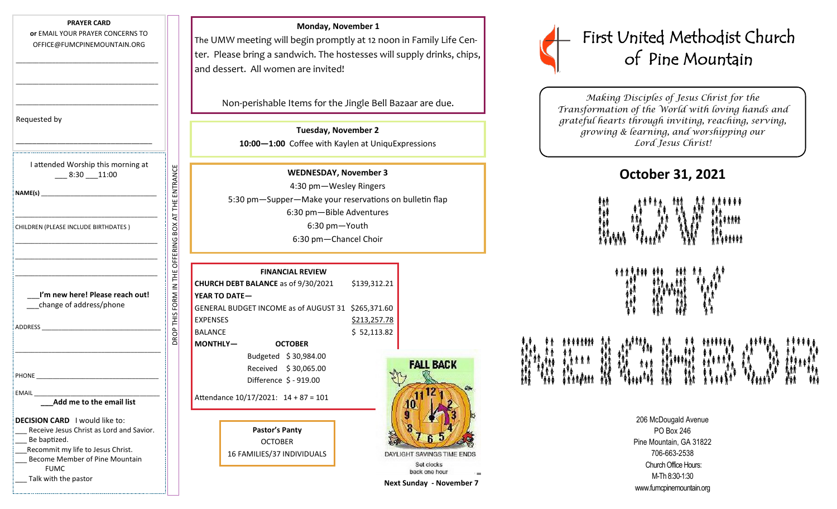### **PRAYER CARD**

**or** EMAIL YOUR PRAYER CONCERNS TO OFFICE@FUMCPINEMOUNTAIN.ORG

\_\_\_\_\_\_\_\_\_\_\_\_\_\_\_\_\_\_\_\_\_\_\_\_\_\_\_\_\_\_\_\_\_\_\_\_\_\_\_\_\_\_\_

\_\_\_\_\_\_\_\_\_\_\_\_\_\_\_\_\_\_\_\_\_\_\_\_\_\_\_\_\_\_\_\_\_\_\_\_\_\_\_\_\_\_\_

\_\_\_\_\_\_\_\_\_\_\_\_\_\_\_\_\_\_\_\_\_\_\_\_\_\_\_\_\_\_\_\_\_\_\_\_\_\_\_\_\_\_\_

| Requested by |  |
|--------------|--|
|--------------|--|

| I attended Worship this morning at<br>$-8:30 - 11:00$                                                                                                                                   |                              |
|-----------------------------------------------------------------------------------------------------------------------------------------------------------------------------------------|------------------------------|
|                                                                                                                                                                                         |                              |
| CHILDREN (PLEASE INCLUDE BIRTHDATES)                                                                                                                                                    | OFFERING BOX AT THE ENTRANCE |
|                                                                                                                                                                                         |                              |
| I'm new here! Please reach out!<br>change of address/phone                                                                                                                              | DROP THIS FORM IN THE        |
|                                                                                                                                                                                         |                              |
|                                                                                                                                                                                         |                              |
| EMAIL                                                                                                                                                                                   |                              |
| Add me to the email list                                                                                                                                                                |                              |
| <b>DECISION CARD</b> I would like to:<br>Receive Jesus Christ as Lord and Savior.<br>Be baptized.<br>Recommit my life to Jesus Christ.<br>Become Member of Pine Mountain<br><b>FUMC</b> |                              |
| Talk with the pastor                                                                                                                                                                    |                              |

#### **Monday, November 1**

The UMW meeting will begin promptly at 12 noon in Family Life Center. Please bring a sandwich. The hostesses will supply drinks, chips, and dessert. All women are invited!

Non-perishable Items for the Jingle Bell Bazaar are due.

**Tuesday, November 2 10:00—1:00** Coffee with Kaylen at UniquExpressions

**WEDNESDAY, November 3** 4:30 pm—Wesley Ringers 5:30 pm—Supper—Make your reservations on bulletin flap 6:30 pm—Bible Adventures 6:30 pm—Youth 6:30 pm—Chancel Choir

|                                            |                        | <b>FINANCIAL REVIEW</b>               |              |
|--------------------------------------------|------------------------|---------------------------------------|--------------|
| <b>CHURCH DEBT BALANCE</b> as of 9/30/2021 |                        |                                       | \$139,312.21 |
| YEAR TO DATE-                              |                        |                                       |              |
|                                            |                        | GENERAL BUDGET INCOME as of AUGUST 31 | \$265,371.60 |
| <b>EXPENSES</b>                            |                        |                                       | \$213,257.78 |
| <b>BALANCE</b>                             |                        |                                       | \$52,113.82  |
| <b>MONTHLY-</b>                            |                        | <b>OCTOBER</b>                        |              |
|                                            | Budgeted \$30,984.00   |                                       |              |
|                                            | Received \$30,065.00   |                                       |              |
|                                            | Difference \$ - 919.00 |                                       |              |
| Attendance 10/17/2021: 14 + 87 = 101       |                        |                                       |              |
|                                            |                        |                                       |              |
|                                            |                        |                                       |              |

**Pastor's Panty** OCTOBER 16 FAMILIES/37 INDIVIDUALS



back one hour **Next Sunday - November 7**



*Making Disciples of Jesus Christ for the Transformation of the World with loving hands and grateful hearts through inviting, reaching, serving, growing & learning, and worshipping our Lord Jesus Christ!* 

# **October 31, 2021**



፞ቝቑ፞*ቚ*፞<br>፟<sub>፞</sub>ዹቝ

ነ የአገልግሎት የተያያዘ አይደለም የአገልግሎት አስተሳሰ<br>አስተሳሰ የተነሳ የአስተሳሰ የአስተሳሰ የአስተሳሰ የአስተሳሰ የአስተሳሰ የአስተሳሰ የአስተሳሰ የአስተሳሰ የአስተሳሰ የአስተሳሰ የአስተሳሰ የአስተሳሰ የአስተሳሰ የአስተሳሰ የ<br>አስተሳሰ የአስተሳሰ የአስተሳሰ የአስተሳሰ የአስተሳሰ የአስተሳሰ የአስተሳሰ የአስተሳሰ የአስተሳሰ የአስተሳሰ የአስተሳ ፞ቑ<sup>ኯ</sup>ቑ<sub>፞</sub>ቑዂ፞፟<br>ቑኯቑ<sub>፞</sub>ቚቜቝቔቚቔቚቔቚቔቚዀቝ<br>፞ኯ፞፟ኯቑኯቑቔቝቔቚቑቝቔጞ

> 206 McDougald Avenue PO Box 246 Pine Mountain, GA 31822 706-663-2538 Church Office Hours: M-Th 8:30-1:30 www.fumcpinemountain.org